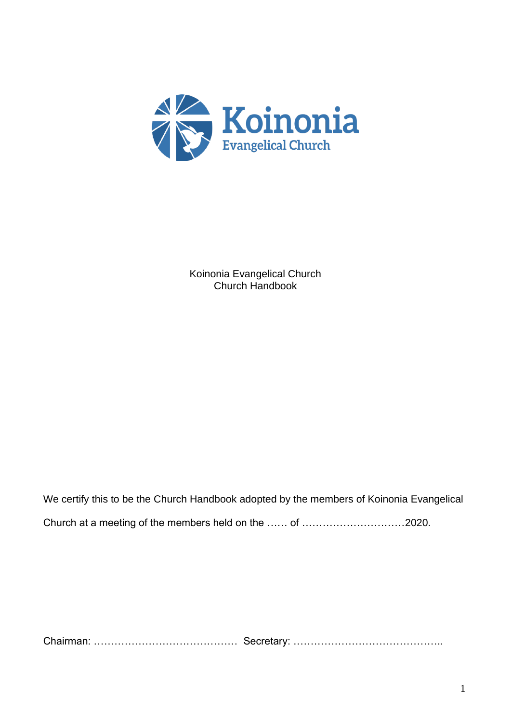

Koinonia Evangelical Church Church Handbook

We certify this to be the Church Handbook adopted by the members of Koinonia Evangelical Church at a meeting of the members held on the …… of …………………………2020.

Chairman: …………………………………… Secretary: ……………………………………..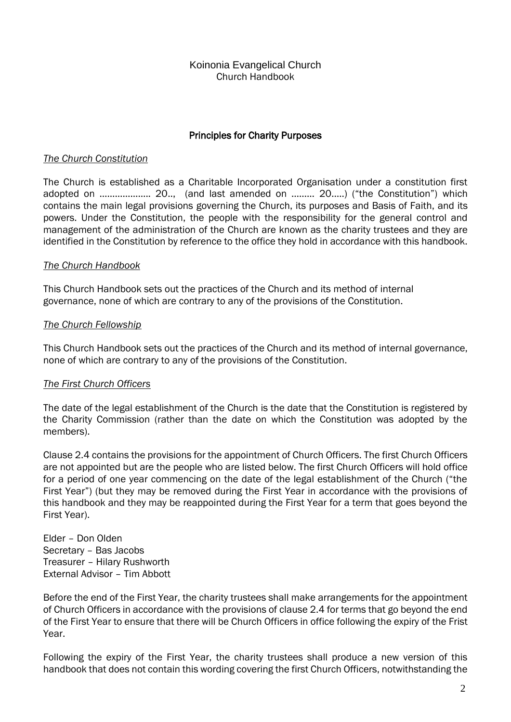### Koinonia Evangelical Church Church Handbook

## Principles for Charity Purposes

#### *The Church Constitution*

The Church is established as a Charitable Incorporated Organisation under a constitution first adopted on ……………….. 20.., (and last amended on ……… 20…..) ("the Constitution") which contains the main legal provisions governing the Church, its purposes and Basis of Faith, and its powers. Under the Constitution, the people with the responsibility for the general control and management of the administration of the Church are known as the charity trustees and they are identified in the Constitution by reference to the office they hold in accordance with this handbook.

#### *The Church Handbook*

This Church Handbook sets out the practices of the Church and its method of internal governance, none of which are contrary to any of the provisions of the Constitution.

#### *The Church Fellowship*

This Church Handbook sets out the practices of the Church and its method of internal governance, none of which are contrary to any of the provisions of the Constitution.

#### *The First Church Officers*

The date of the legal establishment of the Church is the date that the Constitution is registered by the Charity Commission (rather than the date on which the Constitution was adopted by the members).

Clause 2.4 contains the provisions for the appointment of Church Officers. The first Church Officers are not appointed but are the people who are listed below. The first Church Officers will hold office for a period of one year commencing on the date of the legal establishment of the Church ("the First Year") (but they may be removed during the First Year in accordance with the provisions of this handbook and they may be reappointed during the First Year for a term that goes beyond the First Year).

Elder – Don Olden Secretary – Bas Jacobs Treasurer – Hilary Rushworth External Advisor – Tim Abbott

Before the end of the First Year, the charity trustees shall make arrangements for the appointment of Church Officers in accordance with the provisions of clause 2.4 for terms that go beyond the end of the First Year to ensure that there will be Church Officers in office following the expiry of the Frist Year.

Following the expiry of the First Year, the charity trustees shall produce a new version of this handbook that does not contain this wording covering the first Church Officers, notwithstanding the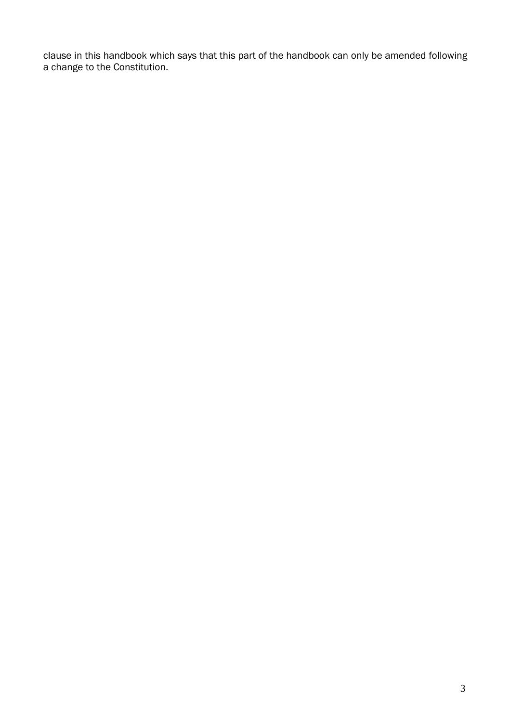clause in this handbook which says that this part of the handbook can only be amended following a change to the Constitution.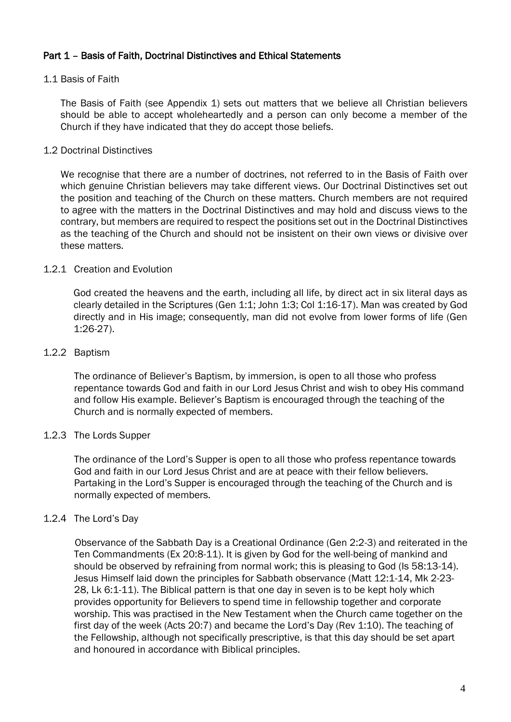# Part 1 – Basis of Faith, Doctrinal Distinctives and Ethical Statements

### 1.1 Basis of Faith

The Basis of Faith (see Appendix 1) sets out matters that we believe all Christian believers should be able to accept wholeheartedly and a person can only become a member of the Church if they have indicated that they do accept those beliefs.

### 1.2 Doctrinal Distinctives

We recognise that there are a number of doctrines, not referred to in the Basis of Faith over which genuine Christian believers may take different views. Our Doctrinal Distinctives set out the position and teaching of the Church on these matters. Church members are not required to agree with the matters in the Doctrinal Distinctives and may hold and discuss views to the contrary, but members are required to respect the positions set out in the Doctrinal Distinctives as the teaching of the Church and should not be insistent on their own views or divisive over these matters.

### 1.2.1 Creation and Evolution

God created the heavens and the earth, including all life, by direct act in six literal days as clearly detailed in the Scriptures (Gen 1:1; John 1:3; Col 1:16-17). Man was created by God directly and in His image; consequently, man did not evolve from lower forms of life (Gen 1:26-27).

### 1.2.2 Baptism

The ordinance of Believer's Baptism, by immersion, is open to all those who profess repentance towards God and faith in our Lord Jesus Christ and wish to obey His command and follow His example. Believer's Baptism is encouraged through the teaching of the Church and is normally expected of members.

## 1.2.3 The Lords Supper

The ordinance of the Lord's Supper is open to all those who profess repentance towards God and faith in our Lord Jesus Christ and are at peace with their fellow believers. Partaking in the Lord's Supper is encouraged through the teaching of the Church and is normally expected of members.

#### 1.2.4 The Lord's Day

Observance of the Sabbath Day is a Creational Ordinance (Gen 2:2-3) and reiterated in the Ten Commandments (Ex 20:8-11). It is given by God for the well-being of mankind and should be observed by refraining from normal work; this is pleasing to God (Is 58:13-14). Jesus Himself laid down the principles for Sabbath observance (Matt 12:1-14, Mk 2-23- 28, Lk 6:1-11). The Biblical pattern is that one day in seven is to be kept holy which provides opportunity for Believers to spend time in fellowship together and corporate worship. This was practised in the New Testament when the Church came together on the first day of the week (Acts 20:7) and became the Lord's Day (Rev 1:10). The teaching of the Fellowship, although not specifically prescriptive, is that this day should be set apart and honoured in accordance with Biblical principles.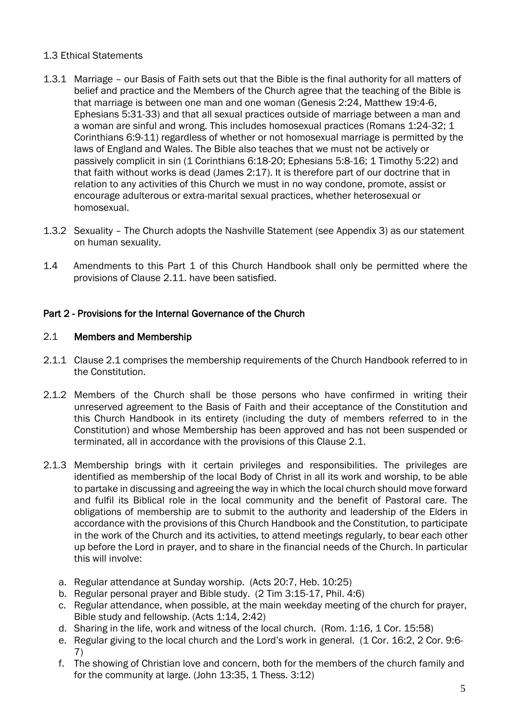# 1.3 Ethical Statements

- 1.3.1 Marriage our Basis of Faith sets out that the Bible is the final authority for all matters of belief and practice and the Members of the Church agree that the teaching of the Bible is that marriage is between one man and one woman (Genesis 2:24, Matthew 19:4-6, Ephesians 5:31-33) and that all sexual practices outside of marriage between a man and a woman are sinful and wrong. This includes homosexual practices (Romans 1:24-32; 1 Corinthians 6:9-11) regardless of whether or not homosexual marriage is permitted by the laws of England and Wales. The Bible also teaches that we must not be actively or passively complicit in sin (1 Corinthians 6:18-20; Ephesians 5:8-16; 1 Timothy 5:22) and that faith without works is dead (James 2:17). It is therefore part of our doctrine that in relation to any activities of this Church we must in no way condone, promote, assist or encourage adulterous or extra-marital sexual practices, whether heterosexual or homosexual.
- 1.3.2 Sexuality The Church adopts the Nashville Statement (see Appendix 3) as our statement on human sexuality.
- 1.4 Amendments to this Part 1 of this Church Handbook shall only be permitted where the provisions of Clause 2.11. have been satisfied.

# Part 2 - Provisions for the Internal Governance of the Church

### <span id="page-4-0"></span>2.1 Members and Membership

- 2.1.1 Clause 2.1 comprises the membership requirements of the Church Handbook referred to in the Constitution.
- <span id="page-4-1"></span>2.1.2 Members of the Church shall be those persons who have confirmed in writing their unreserved agreement to the Basis of Faith and their acceptance of the Constitution and this Church Handbook in its entirety (including the duty of members referred to in the Constitution) and whose Membership has been approved and has not been suspended or terminated, all in accordance with the provisions of this Clause [2.1.](#page-4-0)
- 2.1.3 Membership brings with it certain privileges and responsibilities. The privileges are identified as membership of the local Body of Christ in all its work and worship, to be able to partake in discussing and agreeing the way in which the local church should move forward and fulfil its Biblical role in the local community and the benefit of Pastoral care. The obligations of membership are to submit to the authority and leadership of the Elders in accordance with the provisions of this Church Handbook and the Constitution, to participate in the work of the Church and its activities, to attend meetings regularly, to bear each other up before the Lord in prayer, and to share in the financial needs of the Church. In particular this will involve:
	- a. Regular attendance at Sunday worship. (Acts 20:7, Heb. 10:25)
	- b. Regular personal prayer and Bible study. (2 Tim 3:15-17, Phil. 4:6)
	- c. Regular attendance, when possible, at the main weekday meeting of the church for prayer, Bible study and fellowship. (Acts 1:14, 2:42)
	- d. Sharing in the life, work and witness of the local church. (Rom. 1:16, 1 Cor. 15:58)
	- e. Regular giving to the local church and the Lord's work in general. (1 Cor. 16:2, 2 Cor. 9:6- 7)
	- f. The showing of Christian love and concern, both for the members of the church family and for the community at large. (John 13:35, 1 Thess. 3:12)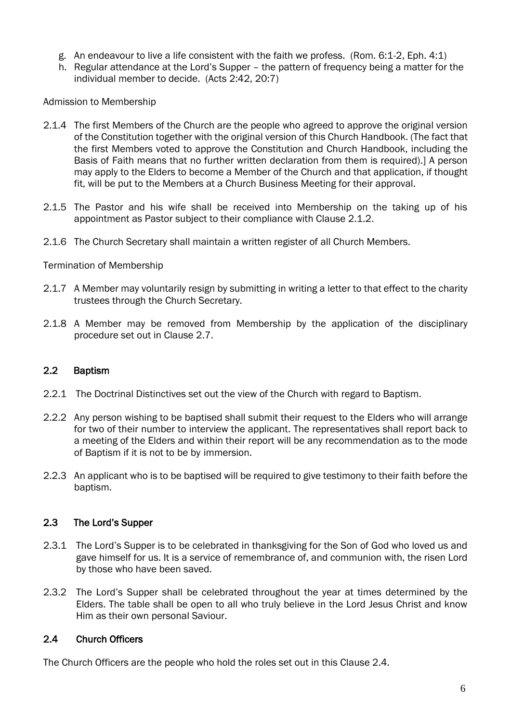- g. An endeavour to live a life consistent with the faith we profess. (Rom. 6:1-2, Eph. 4:1)
- h. Regular attendance at the Lord's Supper the pattern of frequency being a matter for the individual member to decide. (Acts 2:42, 20:7)

# Admission to Membership

- 2.1.4 The first Members of the Church are the people who agreed to approve the original version of the Constitution together with the original version of this Church Handbook. (The fact that the first Members voted to approve the Constitution and Church Handbook, including the Basis of Faith means that no further written declaration from them is required).] A person may apply to the Elders to become a Member of the Church and that application, if thought fit, will be put to the Members at a Church Business Meeting for their approval.
- 2.1.5 The Pastor and his wife shall be received into Membership on the taking up of his appointment as Pastor subject to their compliance with Clause [2.1.2.](#page-4-1)
- 2.1.6 The Church Secretary shall maintain a written register of all Church Members.

## Termination of Membership

- 2.1.7 A Member may voluntarily resign by submitting in writing a letter to that effect to the charity trustees through the Church Secretary.
- 2.1.8 A Member may be removed from Membership by the application of the disciplinary procedure set out in Clause 2.7.

## 2.2 Baptism

- 2.2.1 The Doctrinal Distinctives set out the view of the Church with regard to Baptism.
- 2.2.2 Any person wishing to be baptised shall submit their request to the Elders who will arrange for two of their number to interview the applicant. The representatives shall report back to a meeting of the Elders and within their report will be any recommendation as to the mode of Baptism if it is not to be by immersion.
- 2.2.3 An applicant who is to be baptised will be required to give testimony to their faith before the baptism.

## 2.3 The Lord's Supper

- 2.3.1 The Lord's Supper is to be celebrated in thanksgiving for the Son of God who loved us and gave himself for us. It is a service of remembrance of, and communion with, the risen Lord by those who have been saved.
- 2.3.2 The Lord's Supper shall be celebrated throughout the year at times determined by the Elders. The table shall be open to all who truly believe in the Lord Jesus Christ and know Him as their own personal Saviour.

## 2.4 Church Officers

The Church Officers are the people who hold the roles set out in this Clause 2.4.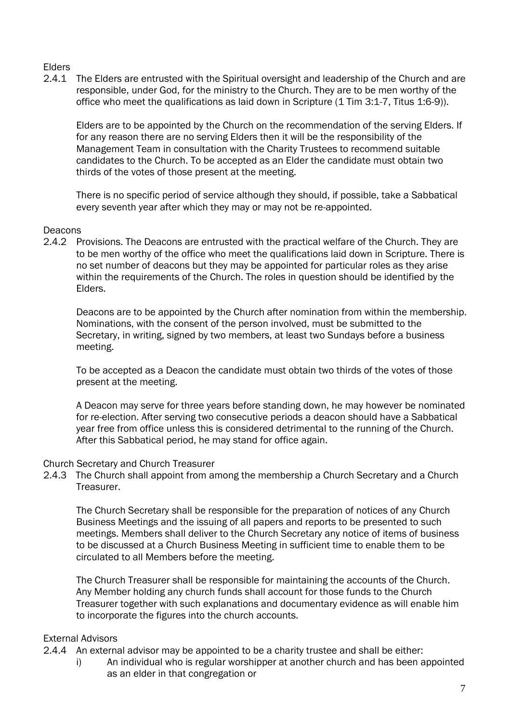# Elders

2.4.1 The Elders are entrusted with the Spiritual oversight and leadership of the Church and are responsible, under God, for the ministry to the Church. They are to be men worthy of the office who meet the qualifications as laid down in Scripture (1 Tim 3:1-7, Titus 1:6-9)).

Elders are to be appointed by the Church on the recommendation of the serving Elders. If for any reason there are no serving Elders then it will be the responsibility of the Management Team in consultation with the Charity Trustees to recommend suitable candidates to the Church. To be accepted as an Elder the candidate must obtain two thirds of the votes of those present at the meeting.

There is no specific period of service although they should, if possible, take a Sabbatical every seventh year after which they may or may not be re-appointed.

### Deacons

2.4.2 Provisions. The Deacons are entrusted with the practical welfare of the Church. They are to be men worthy of the office who meet the qualifications laid down in Scripture. There is no set number of deacons but they may be appointed for particular roles as they arise within the requirements of the Church. The roles in question should be identified by the Elders.

Deacons are to be appointed by the Church after nomination from within the membership. Nominations, with the consent of the person involved, must be submitted to the Secretary, in writing, signed by two members, at least two Sundays before a business meeting.

To be accepted as a Deacon the candidate must obtain two thirds of the votes of those present at the meeting.

A Deacon may serve for three years before standing down, he may however be nominated for re-election. After serving two consecutive periods a deacon should have a Sabbatical year free from office unless this is considered detrimental to the running of the Church. After this Sabbatical period, he may stand for office again.

## Church Secretary and Church Treasurer

2.4.3 The Church shall appoint from among the membership a Church Secretary and a Church Treasurer.

The Church Secretary shall be responsible for the preparation of notices of any Church Business Meetings and the issuing of all papers and reports to be presented to such meetings. Members shall deliver to the Church Secretary any notice of items of business to be discussed at a Church Business Meeting in sufficient time to enable them to be circulated to all Members before the meeting.

The Church Treasurer shall be responsible for maintaining the accounts of the Church. Any Member holding any church funds shall account for those funds to the Church Treasurer together with such explanations and documentary evidence as will enable him to incorporate the figures into the church accounts.

## External Advisors

- 2.4.4 An external advisor may be appointed to be a charity trustee and shall be either:
	- i) An individual who is regular worshipper at another church and has been appointed as an elder in that congregation or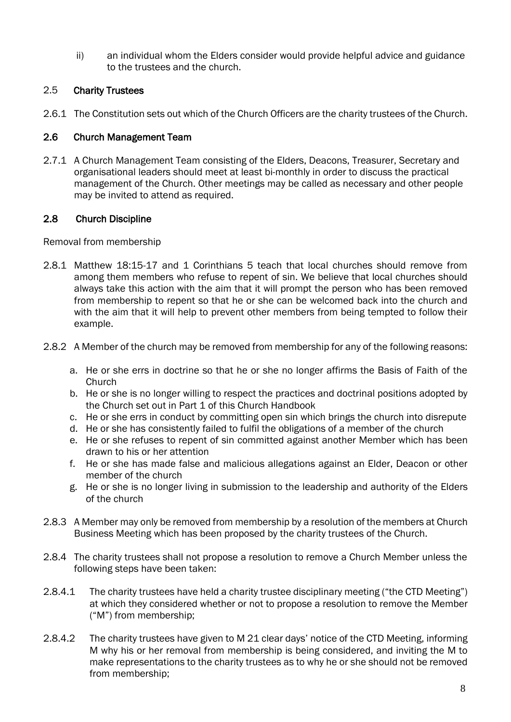ii) an individual whom the Elders consider would provide helpful advice and guidance to the trustees and the church.

# 2.5 Charity Trustees

2.6.1 The Constitution sets out which of the Church Officers are the charity trustees of the Church.

# 2.6 Church Management Team

2.7.1 A Church Management Team consisting of the Elders, Deacons, Treasurer, Secretary and organisational leaders should meet at least bi-monthly in order to discuss the practical management of the Church. Other meetings may be called as necessary and other people may be invited to attend as required.

# 2.8 Church Discipline

Removal from membership

- 2.8.1 Matthew 18:15-17 and 1 Corinthians 5 teach that local churches should remove from among them members who refuse to repent of sin. We believe that local churches should always take this action with the aim that it will prompt the person who has been removed from membership to repent so that he or she can be welcomed back into the church and with the aim that it will help to prevent other members from being tempted to follow their example.
- <span id="page-7-0"></span>2.8.2 A Member of the church may be removed from membership for any of the following reasons:
	- a. He or she errs in doctrine so that he or she no longer affirms the Basis of Faith of the Church
	- b. He or she is no longer willing to respect the practices and doctrinal positions adopted by the Church set out in Part 1 of this Church Handbook
	- c. He or she errs in conduct by committing open sin which brings the church into disrepute
	- d. He or she has consistently failed to fulfil the obligations of a member of the church
	- e. He or she refuses to repent of sin committed against another Member which has been drawn to his or her attention
	- f. He or she has made false and malicious allegations against an Elder, Deacon or other member of the church
	- g. He or she is no longer living in submission to the leadership and authority of the Elders of the church
- 2.8.3 A Member may only be removed from membership by a resolution of the members at Church Business Meeting which has been proposed by the charity trustees of the Church.
- 2.8.4 The charity trustees shall not propose a resolution to remove a Church Member unless the following steps have been taken:
- 2.8.4.1 The charity trustees have held a charity trustee disciplinary meeting ("the CTD Meeting") at which they considered whether or not to propose a resolution to remove the Member ("M") from membership;
- 2.8.4.2 The charity trustees have given to M 21 clear days' notice of the CTD Meeting, informing M why his or her removal from membership is being considered, and inviting the M to make representations to the charity trustees as to why he or she should not be removed from membership;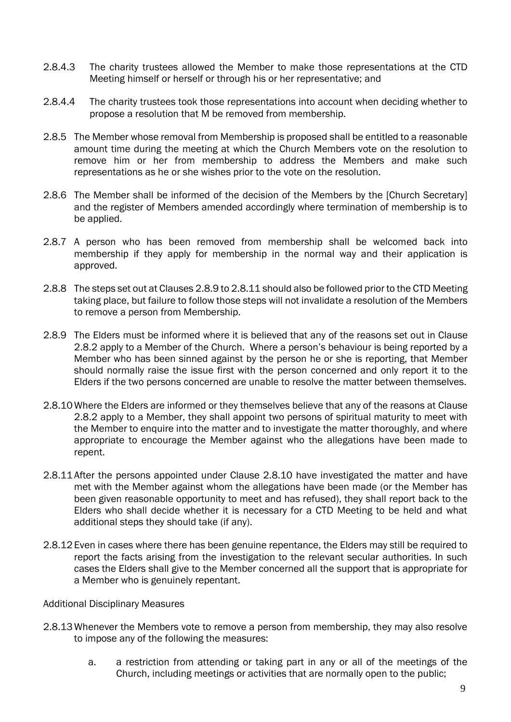- 2.8.4.3 The charity trustees allowed the Member to make those representations at the CTD Meeting himself or herself or through his or her representative; and
- 2.8.4.4 The charity trustees took those representations into account when deciding whether to propose a resolution that M be removed from membership.
- 2.8.5 The Member whose removal from Membership is proposed shall be entitled to a reasonable amount time during the meeting at which the Church Members vote on the resolution to remove him or her from membership to address the Members and make such representations as he or she wishes prior to the vote on the resolution.
- 2.8.6 The Member shall be informed of the decision of the Members by the [Church Secretary] and the register of Members amended accordingly where termination of membership is to be applied.
- 2.8.7 A person who has been removed from membership shall be welcomed back into membership if they apply for membership in the normal way and their application is approved.
- 2.8.8 The steps set out at Clauses [2.8.9](#page-8-0) t[o 2.8.11](#page-8-1) should also be followed prior to the CTD Meeting taking place, but failure to follow those steps will not invalidate a resolution of the Members to remove a person from Membership.
- <span id="page-8-0"></span>2.8.9 The Elders must be informed where it is believed that any of the reasons set out in Clause [2.8.2](#page-7-0) apply to a Member of the Church. Where a person's behaviour is being reported by a Member who has been sinned against by the person he or she is reporting, that Member should normally raise the issue first with the person concerned and only report it to the Elders if the two persons concerned are unable to resolve the matter between themselves.
- <span id="page-8-2"></span>2.8.10 Where the Elders are informed or they themselves believe that any of the reasons at Clause [2.8.2](#page-7-0) apply to a Member, they shall appoint two persons of spiritual maturity to meet with the Member to enquire into the matter and to investigate the matter thoroughly, and where appropriate to encourage the Member against who the allegations have been made to repent.
- <span id="page-8-1"></span>2.8.11 After the persons appointed under Clause [2.8.10](#page-8-2) have investigated the matter and have met with the Member against whom the allegations have been made (or the Member has been given reasonable opportunity to meet and has refused), they shall report back to the Elders who shall decide whether it is necessary for a CTD Meeting to be held and what additional steps they should take (if any).
- 2.8.12 Even in cases where there has been genuine repentance, the Elders may still be required to report the facts arising from the investigation to the relevant secular authorities. In such cases the Elders shall give to the Member concerned all the support that is appropriate for a Member who is genuinely repentant.

Additional Disciplinary Measures

- <span id="page-8-3"></span>2.8.13 Whenever the Members vote to remove a person from membership, they may also resolve to impose any of the following the measures:
	- a. a restriction from attending or taking part in any or all of the meetings of the Church, including meetings or activities that are normally open to the public;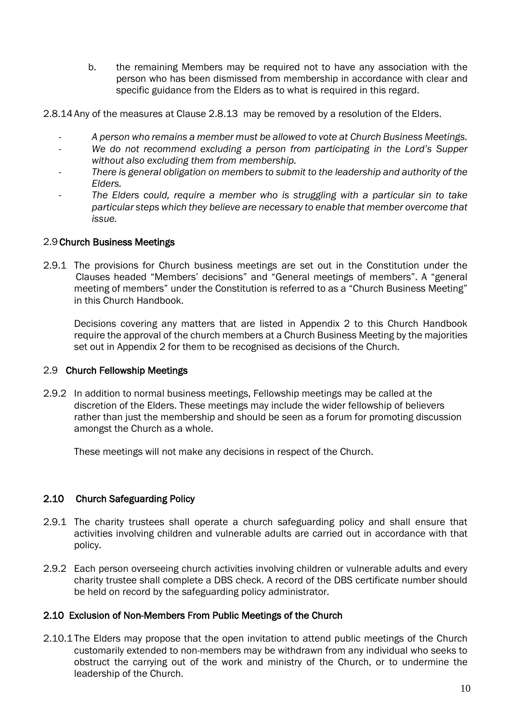- b. the remaining Members may be required not to have any association with the person who has been dismissed from membership in accordance with clear and specific guidance from the Elders as to what is required in this regard.
- <span id="page-9-0"></span>2.8.14 Any of the measures at Clause [2.8.13](#page-8-3) may be removed by a resolution of the Elders.
	- *A person who remains a member must be allowed to vote at Church Business Meetings.*
	- *We do not recommend excluding a person from participating in the Lord's Supper without also excluding them from membership.*
	- *There is general obligation on members to submit to the leadership and authority of the Elders.*
	- *The Elders could, require a member who is struggling with a particular sin to take particular steps which they believe are necessary to enable that member overcome that issue.*

### 2.9Church Business Meetings

2.9.1 The provisions for Church business meetings are set out in the Constitution under the Clauses headed "Members' decisions" and "General meetings of members". A "general meeting of members" under the Constitution is referred to as a "Church Business Meeting" in this Church Handbook.

Decisions covering any matters that are listed in Appendix 2 to this Church Handbook require the approval of the church members at a Church Business Meeting by the majorities set out in Appendix 2 for them to be recognised as decisions of the Church.

#### 2.9 Church Fellowship Meetings

2.9.2 In addition to normal business meetings, Fellowship meetings may be called at the discretion of the Elders. These meetings may include the wider fellowship of believers rather than just the membership and should be seen as a forum for promoting discussion amongst the Church as a whole.

These meetings will not make any decisions in respect of the Church.

## 2.10 Church Safeguarding Policy

- 2.9.1 The charity trustees shall operate a church safeguarding policy and shall ensure that activities involving children and vulnerable adults are carried out in accordance with that policy.
- 2.9.2 Each person overseeing church activities involving children or vulnerable adults and every charity trustee shall complete a DBS check. A record of the DBS certificate number should be held on record by the safeguarding policy administrator.

## 2.10 Exclusion of Non-Members From Public Meetings of the Church

2.10.1 The Elders may propose that the open invitation to attend public meetings of the Church customarily extended to non-members may be withdrawn from any individual who seeks to obstruct the carrying out of the work and ministry of the Church, or to undermine the leadership of the Church.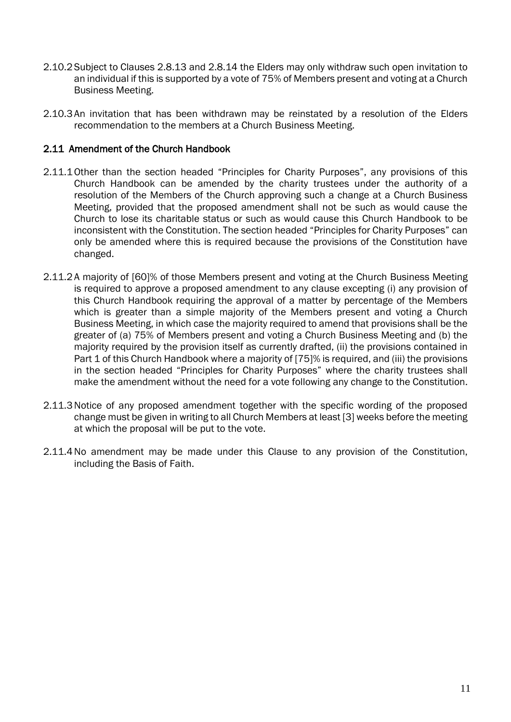- 2.10.2 Subject to Clauses [2.8.13](#page-8-3) and [2.8.14](#page-9-0) the Elders may only withdraw such open invitation to an individual if this is supported by a vote of 75% of Members present and voting at a Church Business Meeting.
- 2.10.3 An invitation that has been withdrawn may be reinstated by a resolution of the Elders recommendation to the members at a Church Business Meeting.

# 2.11 Amendment of the Church Handbook

- 2.11.1Other than the section headed "Principles for Charity Purposes", any provisions of this Church Handbook can be amended by the charity trustees under the authority of a resolution of the Members of the Church approving such a change at a Church Business Meeting, provided that the proposed amendment shall not be such as would cause the Church to lose its charitable status or such as would cause this Church Handbook to be inconsistent with the Constitution. The section headed "Principles for Charity Purposes" can only be amended where this is required because the provisions of the Constitution have changed.
- <span id="page-10-0"></span>2.11.2 A majority of [60]% of those Members present and voting at the Church Business Meeting is required to approve a proposed amendment to any clause excepting (i) any provision of this Church Handbook requiring the approval of a matter by percentage of the Members which is greater than a simple majority of the Members present and voting a Church Business Meeting, in which case the majority required to amend that provisions shall be the greater of (a) 75% of Members present and voting a Church Business Meeting and (b) the majority required by the provision itself as currently drafted, (ii) the provisions contained in Part 1 of this Church Handbook where a majority of [75]% is required, and (iii) the provisions in the section headed "Principles for Charity Purposes" where the charity trustees shall make the amendment without the need for a vote following any change to the Constitution.
- 2.11.3Notice of any proposed amendment together with the specific wording of the proposed change must be given in writing to all Church Members at least [3] weeks before the meeting at which the proposal will be put to the vote.
- 2.11.4No amendment may be made under this Clause to any provision of the Constitution, including the Basis of Faith.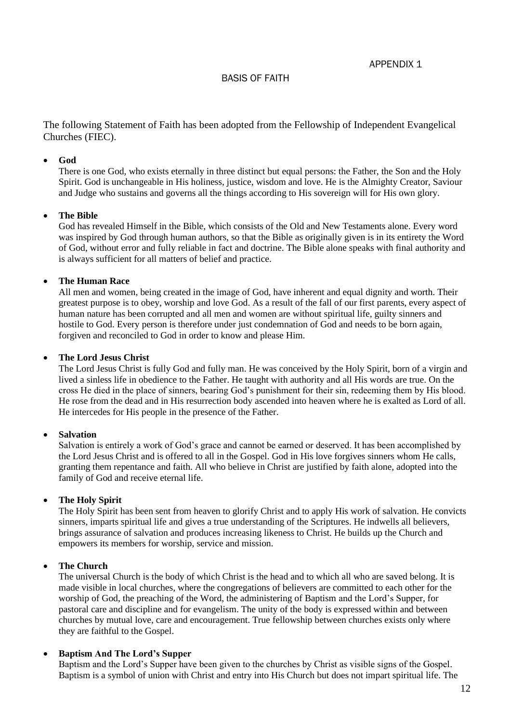APPENDIX 1

### BASIS OF FAITH

The following Statement of Faith has been adopted from the Fellowship of Independent Evangelical Churches (FIEC).

#### • **God**

There is one God, who exists eternally in three distinct but equal persons: the Father, the Son and the Holy Spirit. God is unchangeable in His holiness, justice, wisdom and love. He is the Almighty Creator, Saviour and Judge who sustains and governs all the things according to His sovereign will for His own glory.

#### • **The Bible**

God has revealed Himself in the Bible, which consists of the Old and New Testaments alone. Every word was inspired by God through human authors, so that the Bible as originally given is in its entirety the Word of God, without error and fully reliable in fact and doctrine. The Bible alone speaks with final authority and is always sufficient for all matters of belief and practice.

#### • **The Human Race**

All men and women, being created in the image of God, have inherent and equal dignity and worth. Their greatest purpose is to obey, worship and love God. As a result of the fall of our first parents, every aspect of human nature has been corrupted and all men and women are without spiritual life, guilty sinners and hostile to God. Every person is therefore under just condemnation of God and needs to be born again, forgiven and reconciled to God in order to know and please Him.

#### • **The Lord Jesus Christ**

The Lord Jesus Christ is fully God and fully man. He was conceived by the Holy Spirit, born of a virgin and lived a sinless life in obedience to the Father. He taught with authority and all His words are true. On the cross He died in the place of sinners, bearing God's punishment for their sin, redeeming them by His blood. He rose from the dead and in His resurrection body ascended into heaven where he is exalted as Lord of all. He intercedes for His people in the presence of the Father.

#### • **Salvation**

Salvation is entirely a work of God's grace and cannot be earned or deserved. It has been accomplished by the Lord Jesus Christ and is offered to all in the Gospel. God in His love forgives sinners whom He calls, granting them repentance and faith. All who believe in Christ are justified by faith alone, adopted into the family of God and receive eternal life.

#### • **The Holy Spirit**

The Holy Spirit has been sent from heaven to glorify Christ and to apply His work of salvation. He convicts sinners, imparts spiritual life and gives a true understanding of the Scriptures. He indwells all believers, brings assurance of salvation and produces increasing likeness to Christ. He builds up the Church and empowers its members for worship, service and mission.

#### • **The Church**

The universal Church is the body of which Christ is the head and to which all who are saved belong. It is made visible in local churches, where the congregations of believers are committed to each other for the worship of God, the preaching of the Word, the administering of Baptism and the Lord's Supper, for pastoral care and discipline and for evangelism. The unity of the body is expressed within and between churches by mutual love, care and encouragement. True fellowship between churches exists only where they are faithful to the Gospel.

#### • **Baptism And The Lord's Supper**

Baptism and the Lord's Supper have been given to the churches by Christ as visible signs of the Gospel. Baptism is a symbol of union with Christ and entry into His Church but does not impart spiritual life. The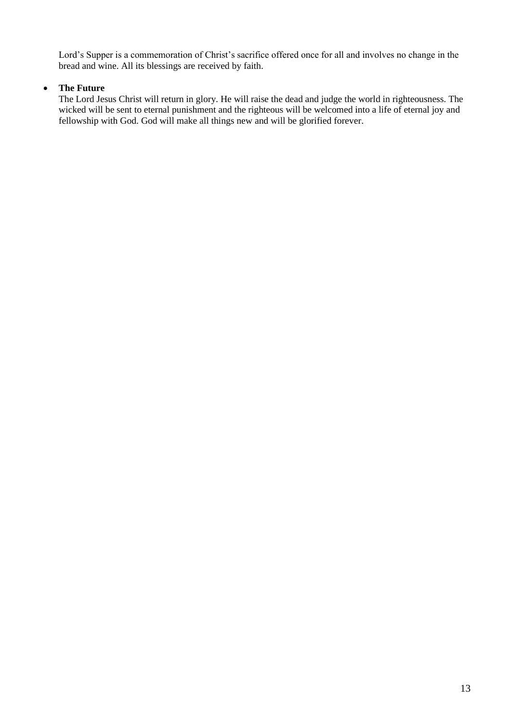Lord's Supper is a commemoration of Christ's sacrifice offered once for all and involves no change in the bread and wine. All its blessings are received by faith.

#### • **The Future**

The Lord Jesus Christ will return in glory. He will raise the dead and judge the world in righteousness. The wicked will be sent to eternal punishment and the righteous will be welcomed into a life of eternal joy and fellowship with God. God will make all things new and will be glorified forever.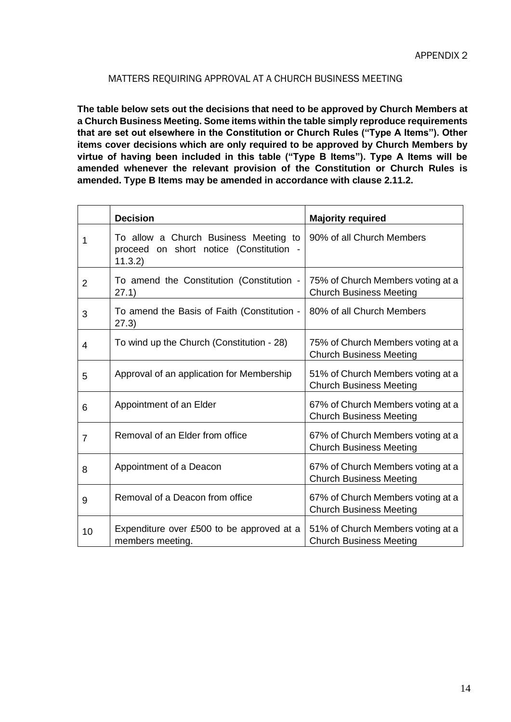### MATTERS REQUIRING APPROVAL AT A CHURCH BUSINESS MEETING

**The table below sets out the decisions that need to be approved by Church Members at a Church Business Meeting. Some items within the table simply reproduce requirements that are set out elsewhere in the Constitution or Church Rules ("Type A Items"). Other items cover decisions which are only required to be approved by Church Members by virtue of having been included in this table ("Type B Items"). Type A Items will be amended whenever the relevant provision of the Constitution or Church Rules is amended. Type B Items may be amended in accordance with clause [2.11.2.](#page-10-0)** 

|                | <b>Decision</b>                                                                             | <b>Majority required</b>                                            |
|----------------|---------------------------------------------------------------------------------------------|---------------------------------------------------------------------|
| 1              | To allow a Church Business Meeting to<br>proceed on short notice (Constitution -<br>11.3.2) | 90% of all Church Members                                           |
| $\overline{2}$ | To amend the Constitution (Constitution -<br>27.1)                                          | 75% of Church Members voting at a<br><b>Church Business Meeting</b> |
| 3              | To amend the Basis of Faith (Constitution -<br>27.3)                                        | 80% of all Church Members                                           |
| 4              | To wind up the Church (Constitution - 28)                                                   | 75% of Church Members voting at a<br><b>Church Business Meeting</b> |
| 5              | Approval of an application for Membership                                                   | 51% of Church Members voting at a<br><b>Church Business Meeting</b> |
| 6              | Appointment of an Elder                                                                     | 67% of Church Members voting at a<br><b>Church Business Meeting</b> |
| $\overline{7}$ | Removal of an Elder from office                                                             | 67% of Church Members voting at a<br><b>Church Business Meeting</b> |
| 8              | Appointment of a Deacon                                                                     | 67% of Church Members voting at a<br><b>Church Business Meeting</b> |
| 9              | Removal of a Deacon from office                                                             | 67% of Church Members voting at a<br><b>Church Business Meeting</b> |
| 10             | Expenditure over £500 to be approved at a<br>members meeting.                               | 51% of Church Members voting at a<br><b>Church Business Meeting</b> |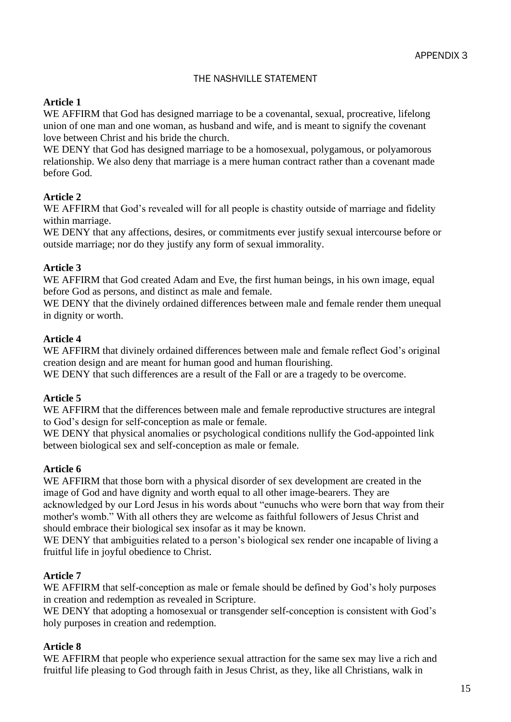# THE NASHVILLE STATEMENT

## **Article 1**

WE AFFIRM that God has designed marriage to be a covenantal, sexual, procreative, lifelong union of one man and one woman, as husband and wife, and is meant to signify the covenant love between Christ and his bride the church.

WE DENY that God has designed marriage to be a homosexual, polygamous, or polyamorous relationship. We also deny that marriage is a mere human contract rather than a covenant made before God.

## **Article 2**

WE AFFIRM that God's revealed will for all people is chastity outside of marriage and fidelity within marriage.

WE DENY that any affections, desires, or commitments ever justify sexual intercourse before or outside marriage; nor do they justify any form of sexual immorality.

## **Article 3**

WE AFFIRM that God created Adam and Eve, the first human beings, in his own image, equal before God as persons, and distinct as male and female.

WE DENY that the divinely ordained differences between male and female render them unequal in dignity or worth.

### **Article 4**

WE AFFIRM that divinely ordained differences between male and female reflect God's original creation design and are meant for human good and human flourishing.

WE DENY that such differences are a result of the Fall or are a tragedy to be overcome.

#### **Article 5**

WE AFFIRM that the differences between male and female reproductive structures are integral to God's design for self-conception as male or female.

WE DENY that physical anomalies or psychological conditions nullify the God-appointed link between biological sex and self-conception as male or female.

#### **Article 6**

WE AFFIRM that those born with a physical disorder of sex development are created in the image of God and have dignity and worth equal to all other image-bearers. They are acknowledged by our Lord Jesus in his words about "eunuchs who were born that way from their mother's womb." With all others they are welcome as faithful followers of Jesus Christ and should embrace their biological sex insofar as it may be known.

WE DENY that ambiguities related to a person's biological sex render one incapable of living a fruitful life in joyful obedience to Christ.

#### **Article 7**

WE AFFIRM that self-conception as male or female should be defined by God's holy purposes in creation and redemption as revealed in Scripture.

WE DENY that adopting a homosexual or transgender self-conception is consistent with God's holy purposes in creation and redemption.

### **Article 8**

WE AFFIRM that people who experience sexual attraction for the same sex may live a rich and fruitful life pleasing to God through faith in Jesus Christ, as they, like all Christians, walk in